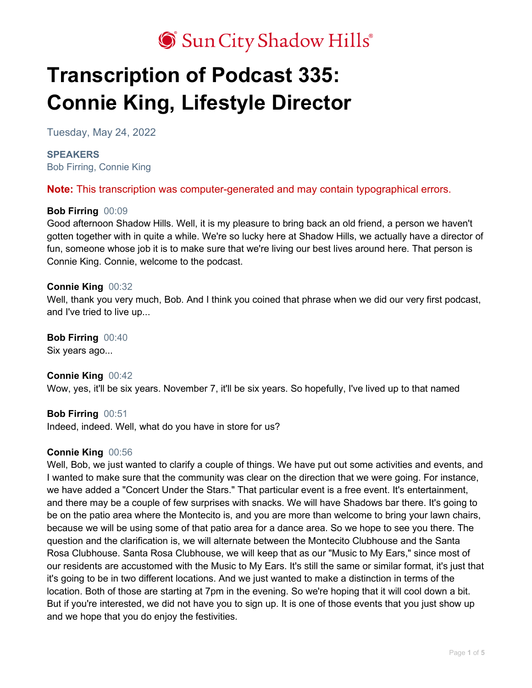## Sun City Shadow Hills®

# **Transcription of Podcast 335: Connie King, Lifestyle Director**

Tuesday, May 24, 2022

## **SPEAKERS** Bob Firring, Connie King

**Note:** This transcription was computer-generated and may contain typographical errors.

## **Bob Firring** 00:09

Good afternoon Shadow Hills. Well, it is my pleasure to bring back an old friend, a person we haven't gotten together with in quite a while. We're so lucky here at Shadow Hills, we actually have a director of fun, someone whose job it is to make sure that we're living our best lives around here. That person is Connie King. Connie, welcome to the podcast.

#### **Connie King** 00:32

Well, thank you very much, Bob. And I think you coined that phrase when we did our very first podcast, and I've tried to live up...

**Bob Firring** 00:40 Six years ago...

**Connie King** 00:42 Wow, yes, it'll be six years. November 7, it'll be six years. So hopefully, I've lived up to that named

**Bob Firring** 00:51 Indeed, indeed. Well, what do you have in store for us?

## **Connie King** 00:56

Well, Bob, we just wanted to clarify a couple of things. We have put out some activities and events, and I wanted to make sure that the community was clear on the direction that we were going. For instance, we have added a "Concert Under the Stars." That particular event is a free event. It's entertainment, and there may be a couple of few surprises with snacks. We will have Shadows bar there. It's going to be on the patio area where the Montecito is, and you are more than welcome to bring your lawn chairs, because we will be using some of that patio area for a dance area. So we hope to see you there. The question and the clarification is, we will alternate between the Montecito Clubhouse and the Santa Rosa Clubhouse. Santa Rosa Clubhouse, we will keep that as our "Music to My Ears," since most of our residents are accustomed with the Music to My Ears. It's still the same or similar format, it's just that it's going to be in two different locations. And we just wanted to make a distinction in terms of the location. Both of those are starting at 7pm in the evening. So we're hoping that it will cool down a bit. But if you're interested, we did not have you to sign up. It is one of those events that you just show up and we hope that you do enjoy the festivities.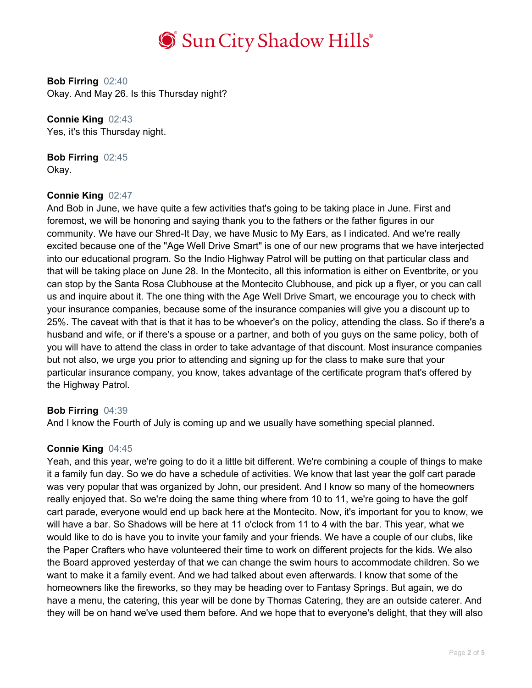

**Bob Firring** 02:40 Okay. And May 26. Is this Thursday night?

**Connie King** 02:43 Yes, it's this Thursday night.

**Bob Firring** 02:45 Okay.

#### **Connie King** 02:47

And Bob in June, we have quite a few activities that's going to be taking place in June. First and foremost, we will be honoring and saying thank you to the fathers or the father figures in our community. We have our Shred-It Day, we have Music to My Ears, as I indicated. And we're really excited because one of the "Age Well Drive Smart" is one of our new programs that we have interjected into our educational program. So the Indio Highway Patrol will be putting on that particular class and that will be taking place on June 28. In the Montecito, all this information is either on Eventbrite, or you can stop by the Santa Rosa Clubhouse at the Montecito Clubhouse, and pick up a flyer, or you can call us and inquire about it. The one thing with the Age Well Drive Smart, we encourage you to check with your insurance companies, because some of the insurance companies will give you a discount up to 25%. The caveat with that is that it has to be whoever's on the policy, attending the class. So if there's a husband and wife, or if there's a spouse or a partner, and both of you guys on the same policy, both of you will have to attend the class in order to take advantage of that discount. Most insurance companies but not also, we urge you prior to attending and signing up for the class to make sure that your particular insurance company, you know, takes advantage of the certificate program that's offered by the Highway Patrol.

#### **Bob Firring** 04:39

And I know the Fourth of July is coming up and we usually have something special planned.

#### **Connie King** 04:45

Yeah, and this year, we're going to do it a little bit different. We're combining a couple of things to make it a family fun day. So we do have a schedule of activities. We know that last year the golf cart parade was very popular that was organized by John, our president. And I know so many of the homeowners really enjoyed that. So we're doing the same thing where from 10 to 11, we're going to have the golf cart parade, everyone would end up back here at the Montecito. Now, it's important for you to know, we will have a bar. So Shadows will be here at 11 o'clock from 11 to 4 with the bar. This year, what we would like to do is have you to invite your family and your friends. We have a couple of our clubs, like the Paper Crafters who have volunteered their time to work on different projects for the kids. We also the Board approved yesterday of that we can change the swim hours to accommodate children. So we want to make it a family event. And we had talked about even afterwards. I know that some of the homeowners like the fireworks, so they may be heading over to Fantasy Springs. But again, we do have a menu, the catering, this year will be done by Thomas Catering, they are an outside caterer. And they will be on hand we've used them before. And we hope that to everyone's delight, that they will also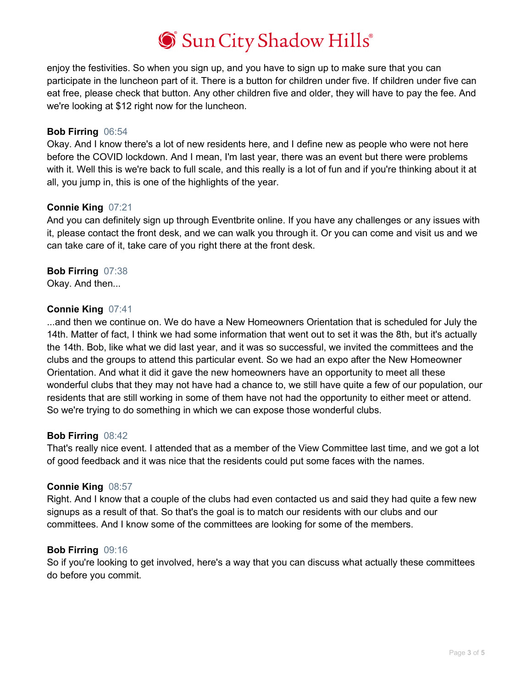## Sun City Shadow Hills®

enjoy the festivities. So when you sign up, and you have to sign up to make sure that you can participate in the luncheon part of it. There is a button for children under five. If children under five can eat free, please check that button. Any other children five and older, they will have to pay the fee. And we're looking at \$12 right now for the luncheon.

### **Bob Firring** 06:54

Okay. And I know there's a lot of new residents here, and I define new as people who were not here before the COVID lockdown. And I mean, I'm last year, there was an event but there were problems with it. Well this is we're back to full scale, and this really is a lot of fun and if you're thinking about it at all, you jump in, this is one of the highlights of the year.

#### **Connie King** 07:21

And you can definitely sign up through Eventbrite online. If you have any challenges or any issues with it, please contact the front desk, and we can walk you through it. Or you can come and visit us and we can take care of it, take care of you right there at the front desk.

## **Bob Firring** 07:38

Okay. And then...

## **Connie King** 07:41

...and then we continue on. We do have a New Homeowners Orientation that is scheduled for July the 14th. Matter of fact, I think we had some information that went out to set it was the 8th, but it's actually the 14th. Bob, like what we did last year, and it was so successful, we invited the committees and the clubs and the groups to attend this particular event. So we had an expo after the New Homeowner Orientation. And what it did it gave the new homeowners have an opportunity to meet all these wonderful clubs that they may not have had a chance to, we still have quite a few of our population, our residents that are still working in some of them have not had the opportunity to either meet or attend. So we're trying to do something in which we can expose those wonderful clubs.

#### **Bob Firring** 08:42

That's really nice event. I attended that as a member of the View Committee last time, and we got a lot of good feedback and it was nice that the residents could put some faces with the names.

## **Connie King** 08:57

Right. And I know that a couple of the clubs had even contacted us and said they had quite a few new signups as a result of that. So that's the goal is to match our residents with our clubs and our committees. And I know some of the committees are looking for some of the members.

#### **Bob Firring** 09:16

So if you're looking to get involved, here's a way that you can discuss what actually these committees do before you commit.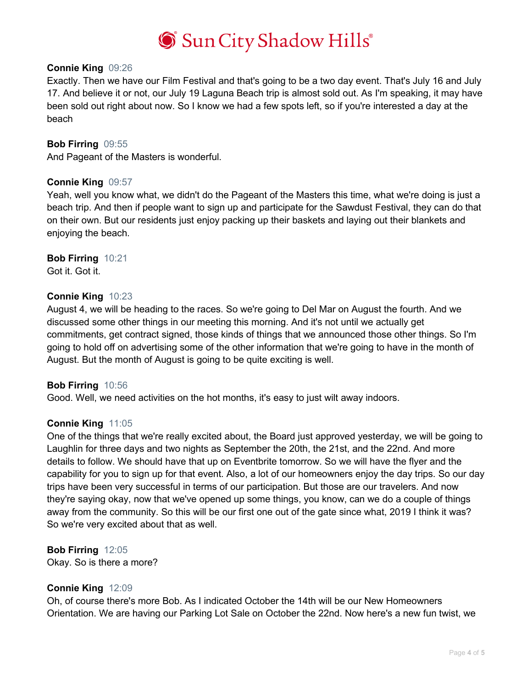

#### **Connie King** 09:26

Exactly. Then we have our Film Festival and that's going to be a two day event. That's July 16 and July 17. And believe it or not, our July 19 Laguna Beach trip is almost sold out. As I'm speaking, it may have been sold out right about now. So I know we had a few spots left, so if you're interested a day at the beach

#### **Bob Firring** 09:55

And Pageant of the Masters is wonderful.

#### **Connie King** 09:57

Yeah, well you know what, we didn't do the Pageant of the Masters this time, what we're doing is just a beach trip. And then if people want to sign up and participate for the Sawdust Festival, they can do that on their own. But our residents just enjoy packing up their baskets and laying out their blankets and enjoying the beach.

**Bob Firring** 10:21 Got it. Got it.

#### **Connie King** 10:23

August 4, we will be heading to the races. So we're going to Del Mar on August the fourth. And we discussed some other things in our meeting this morning. And it's not until we actually get commitments, get contract signed, those kinds of things that we announced those other things. So I'm going to hold off on advertising some of the other information that we're going to have in the month of August. But the month of August is going to be quite exciting is well.

#### **Bob Firring** 10:56

Good. Well, we need activities on the hot months, it's easy to just wilt away indoors.

#### **Connie King** 11:05

One of the things that we're really excited about, the Board just approved yesterday, we will be going to Laughlin for three days and two nights as September the 20th, the 21st, and the 22nd. And more details to follow. We should have that up on Eventbrite tomorrow. So we will have the flyer and the capability for you to sign up for that event. Also, a lot of our homeowners enjoy the day trips. So our day trips have been very successful in terms of our participation. But those are our travelers. And now they're saying okay, now that we've opened up some things, you know, can we do a couple of things away from the community. So this will be our first one out of the gate since what, 2019 I think it was? So we're very excited about that as well.

#### **Bob Firring** 12:05

Okay. So is there a more?

#### **Connie King** 12:09

Oh, of course there's more Bob. As I indicated October the 14th will be our New Homeowners Orientation. We are having our Parking Lot Sale on October the 22nd. Now here's a new fun twist, we